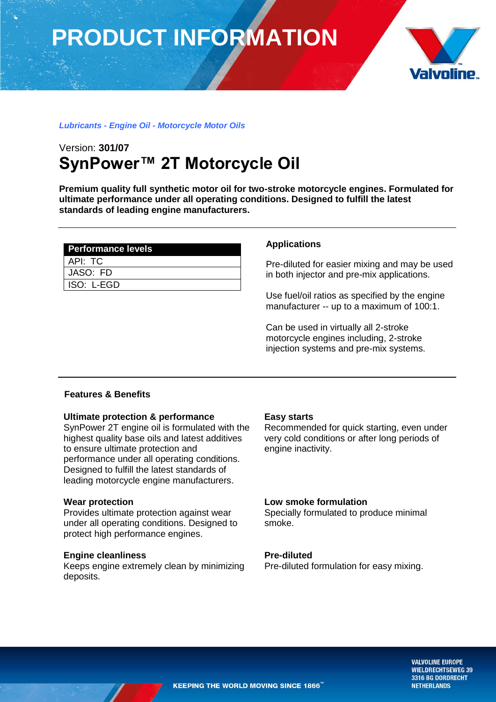# **PRODUCT INFORMATION**



# *Lubricants - Engine Oil - Motorcycle Motor Oils*

# Version: **301/07 SynPower™ 2T Motorcycle Oil**

**Premium quality full synthetic motor oil for two-stroke motorcycle engines. Formulated for ultimate performance under all operating conditions. Designed to fulfill the latest standards of leading engine manufacturers.**

| <b>Performance levels</b> |
|---------------------------|
| API: TC                   |
| JASO: FD                  |
| ISO: L-EGD                |

# **Applications**

Pre-diluted for easier mixing and may be used in both injector and pre-mix applications.

Use fuel/oil ratios as specified by the engine manufacturer -- up to a maximum of 100:1.

Can be used in virtually all 2-stroke motorcycle engines including, 2-stroke injection systems and pre-mix systems.

# **Features & Benefits**

### **Ultimate protection & performance**

SynPower 2T engine oil is formulated with the highest quality base oils and latest additives to ensure ultimate protection and performance under all operating conditions. Designed to fulfill the latest standards of leading motorcycle engine manufacturers.

### **Wear protection**

Provides ultimate protection against wear under all operating conditions. Designed to protect high performance engines.

# **Engine cleanliness**

Keeps engine extremely clean by minimizing deposits.

### **Easy starts**

Recommended for quick starting, even under very cold conditions or after long periods of engine inactivity.

# **Low smoke formulation**

Specially formulated to produce minimal smoke.

# **Pre-diluted**

Pre-diluted formulation for easy mixing.

**VALVOLINE EUROPE WIELDRECHTSEWEG 39** 3316 BG DORDRECHT **NETHERLANDS**